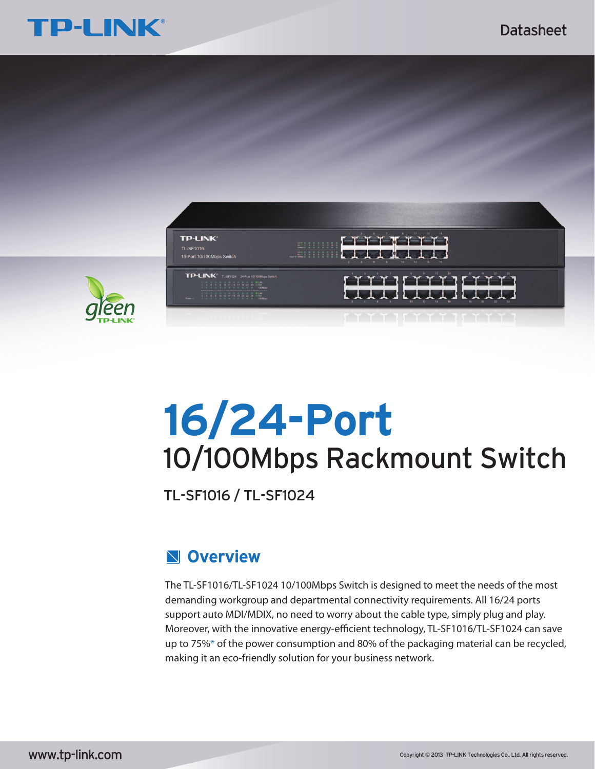



# **16/24-Port** 10/100Mbps Rackmount Switch

TL-SF1016 / TL-SF1024

# **Overview**

The TL-SF1016/TL-SF1024 10/100Mbps Switch is designed to meet the needs of the most demanding workgroup and departmental connectivity requirements. All 16/24 ports support auto MDI/MDIX, no need to worry about the cable type, simply plug and play. Moreover, with the innovative energy-efficient technology, TL-SF1016/TL-SF1024 can save up to 75%\* of the power consumption and 80% of the packaging material can be recycled, making it an eco-friendly solution for your business network.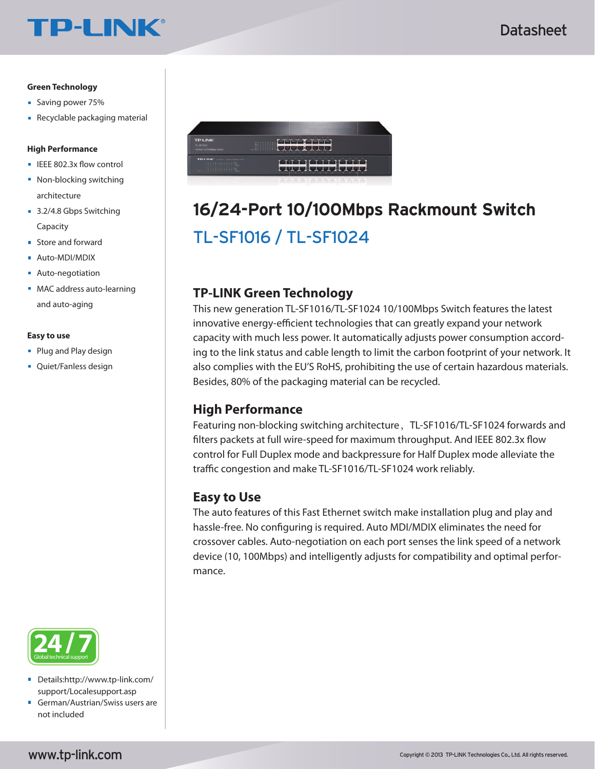#### **Green Technology**

- Saving power 75%
- Recyclable packaging material

**TP-LINK®** 

#### **High Performance**

- $\blacksquare$  IEEE 802.3x flow control
- Non-blocking switching architecture
- 3.2/4.8 Gbps Switching Capacity
- **Store and forward**
- Auto-MDI/MDIX  $\mathbf{u}$
- **Auto-negotiation**
- MAC address auto-learning and auto-aging

#### **Easy to use**

- **Plug and Play design**
- **Quiet/Fanless design**



- Details:http://www.tp-link.com/  $\blacksquare$ support/Localesupport.asp
- German/Austrian/Swiss users are not included



# TL-SF1016 / TL-SF1024 **16/24-Port 10/100Mbps Rackmount Switch**

### **TP-LINK Green Technology**

This new generation TL-SF1016/TL-SF1024 10/100Mbps Switch features the latest innovative energy-efficient technologies that can greatly expand your network capacity with much less power. It automatically adjusts power consumption according to the link status and cable length to limit the carbon footprint of your network. It also complies with the EU'S RoHS, prohibiting the use of certain hazardous materials. Besides, 80% of the packaging material can be recycled.

### **High Performance**

Featuring non-blocking switching architecture, TL-SF1016/TL-SF1024 forwards and filters packets at full wire-speed for maximum throughput. And IEEE 802.3x flow control for Full Duplex mode and backpressure for Half Duplex mode alleviate the traffic congestion and make TL-SF1016/TL-SF1024 work reliably.

### **Easy to Use**

The auto features of this Fast Ethernet switch make installation plug and play and hassle-free. No configuring is required. Auto MDI/MDIX eliminates the need for crossover cables. Auto-negotiation on each port senses the link speed of a network device (10, 100Mbps) and intelligently adjusts for compatibility and optimal performance.